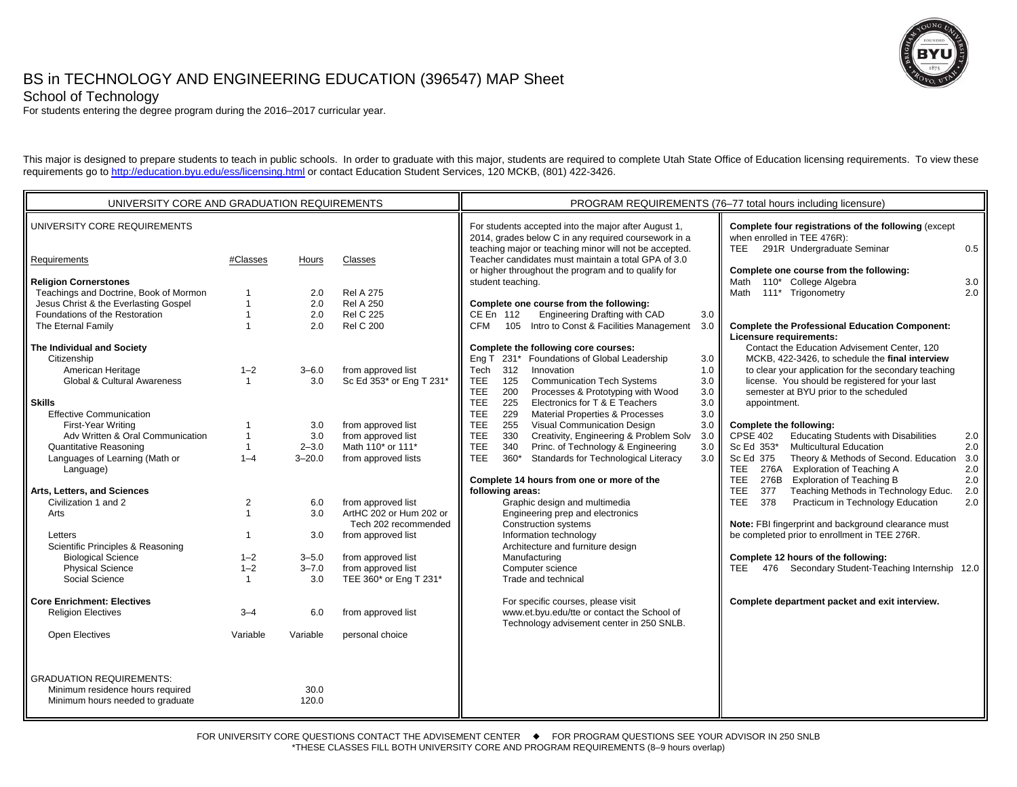

# BS in TECHNOLOGY AND ENGINEERING EDUCATION (396547) MAP Sheet

School of Technology

For students entering the degree program during the 2016–2017 curricular year.

This major is designed to prepare students to teach in public schools. In order to graduate with this major, students are required to complete Utah State Office of Education licensing requirements. To view these requirements go to http://education.byu.edu/ess/licensing.html or contact Education Student Services, 120 MCKB, (801) 422-3426.

| UNIVERSITY CORE AND GRADUATION REQUIREMENTS |                |            |                                                 | PROGRAM REQUIREMENTS (76-77 total hours including licensure)                                                                                                                                        |  |  |  |
|---------------------------------------------|----------------|------------|-------------------------------------------------|-----------------------------------------------------------------------------------------------------------------------------------------------------------------------------------------------------|--|--|--|
| UNIVERSITY CORE REQUIREMENTS                |                |            |                                                 | For students accepted into the major after August 1,<br>Complete four registrations of the following (except<br>2014, grades below C in any required coursework in a<br>when enrolled in TEE 476R): |  |  |  |
| Requirements                                | #Classes       | Hours      | Classes                                         | teaching major or teaching minor will not be accepted.<br>291R Undergraduate Seminar<br>TEE<br>0.5<br>Teacher candidates must maintain a total GPA of 3.0                                           |  |  |  |
| <b>Religion Cornerstones</b>                |                |            |                                                 | or higher throughout the program and to qualify for<br>Complete one course from the following:<br>Math 110* College Algebra<br>student teaching.<br>3.0                                             |  |  |  |
| Teachings and Doctrine, Book of Mormon      |                | 2.0        | <b>Rel A 275</b>                                | Math 111* Trigonometry<br>2.0                                                                                                                                                                       |  |  |  |
| Jesus Christ & the Everlasting Gospel       |                | 2.0        | <b>Rel A 250</b>                                | Complete one course from the following:                                                                                                                                                             |  |  |  |
| Foundations of the Restoration              |                | 2.0        | <b>Rel C 225</b>                                | Engineering Drafting with CAD<br>CE En 112<br>3.0                                                                                                                                                   |  |  |  |
| The Eternal Family                          |                | 2.0        | <b>Rel C 200</b>                                | 105 Intro to Const & Facilities Management<br><b>CFM</b><br>3.0<br><b>Complete the Professional Education Component:</b>                                                                            |  |  |  |
|                                             |                |            |                                                 | Licensure requirements:                                                                                                                                                                             |  |  |  |
| The Individual and Society                  |                |            |                                                 | Contact the Education Advisement Center, 120<br>Complete the following core courses:                                                                                                                |  |  |  |
| Citizenship                                 |                |            |                                                 | Eng T 231* Foundations of Global Leadership<br>MCKB, 422-3426, to schedule the final interview<br>3.0                                                                                               |  |  |  |
| American Heritage                           | $1 - 2$        | $3 - 6.0$  | from approved list                              | Tech<br>312<br>Innovation<br>1.0<br>to clear your application for the secondary teaching                                                                                                            |  |  |  |
| <b>Global &amp; Cultural Awareness</b>      | $\mathbf{1}$   | 3.0        | Sc Ed 353* or Eng T 231*                        | <b>Communication Tech Systems</b><br>TEE.<br>125<br>license. You should be registered for your last<br>3.0                                                                                          |  |  |  |
|                                             |                |            |                                                 | Processes & Prototyping with Wood<br>semester at BYU prior to the scheduled<br><b>TEE</b><br>200<br>3.0                                                                                             |  |  |  |
| <b>Skills</b>                               |                |            |                                                 | <b>TEE</b><br>225<br>Electronics for T & E Teachers<br>3.0<br>appointment.                                                                                                                          |  |  |  |
| <b>Effective Communication</b>              |                |            |                                                 | <b>TEE</b><br>229<br><b>Material Properties &amp; Processes</b><br>3.0 <sub>1</sub>                                                                                                                 |  |  |  |
| First-Year Writing                          |                | 3.0        | from approved list                              | <b>TEE</b><br>255<br>Visual Communication Design<br>3.0<br>Complete the following:                                                                                                                  |  |  |  |
| Adv Written & Oral Communication            | $\mathbf 1$    | 3.0        | from approved list                              | <b>TEE</b><br>Creativity, Engineering & Problem Solv<br><b>Educating Students with Disabilities</b><br>330<br>3.0<br><b>CPSE 402</b><br>2.0                                                         |  |  |  |
| <b>Quantitative Reasoning</b>               | $\mathbf{1}$   | $2 - 3.0$  | Math 110* or 111*                               | <b>TEE</b><br>340<br>Princ. of Technology & Engineering<br>Sc Ed 353*<br><b>Multicultural Education</b><br>2.0<br>3.0                                                                               |  |  |  |
| Languages of Learning (Math or              | $1 - 4$        | $3 - 20.0$ | from approved lists                             | <b>TEE</b><br>Standards for Technological Literacy<br>$360*$<br>Sc Ed 375<br>Theory & Methods of Second. Education<br>3.0<br>3.0                                                                    |  |  |  |
| Language)                                   |                |            |                                                 | <b>TEE</b><br>276A<br><b>Exploration of Teaching A</b><br>2.0                                                                                                                                       |  |  |  |
|                                             |                |            |                                                 | <b>TEE</b><br>276B<br><b>Exploration of Teaching B</b><br>2.0<br>Complete 14 hours from one or more of the                                                                                          |  |  |  |
| Arts, Letters, and Sciences                 |                |            |                                                 | <b>TEE</b><br>Teaching Methods in Technology Educ.<br>following areas:<br>377<br>2.0                                                                                                                |  |  |  |
| Civilization 1 and 2                        | 2              | 6.0        | from approved list                              | <b>TEE</b><br>Practicum in Technology Education<br>Graphic design and multimedia<br>378<br>2.0                                                                                                      |  |  |  |
| Arts                                        | $\overline{1}$ | 3.0        | ArtHC 202 or Hum 202 or<br>Tech 202 recommended | Engineering prep and electronics<br>Note: FBI fingerprint and background clearance must<br><b>Construction systems</b>                                                                              |  |  |  |
| Letters                                     | $\mathbf 1$    | 3.0        | from approved list                              | Information technology<br>be completed prior to enrollment in TEE 276R.                                                                                                                             |  |  |  |
| Scientific Principles & Reasoning           |                |            |                                                 | Architecture and furniture design                                                                                                                                                                   |  |  |  |
| <b>Biological Science</b>                   | $1 - 2$        | $3 - 5.0$  | from approved list                              | Complete 12 hours of the following:<br>Manufacturing                                                                                                                                                |  |  |  |
| <b>Physical Science</b>                     | $1 - 2$        | $3 - 7.0$  | from approved list                              | 476 Secondary Student-Teaching Internship 12.0<br>Computer science<br>TEE                                                                                                                           |  |  |  |
| Social Science                              | $\overline{1}$ | 3.0        | TEE 360* or Eng T 231*                          | Trade and technical                                                                                                                                                                                 |  |  |  |
| <b>Core Enrichment: Electives</b>           |                |            |                                                 | For specific courses, please visit<br>Complete department packet and exit interview.                                                                                                                |  |  |  |
| <b>Religion Electives</b>                   | $3 - 4$        | 6.0        | from approved list                              | www.et.byu.edu/tte or contact the School of                                                                                                                                                         |  |  |  |
|                                             |                |            |                                                 | Technology advisement center in 250 SNLB.                                                                                                                                                           |  |  |  |
| <b>Open Electives</b>                       | Variable       | Variable   | personal choice                                 |                                                                                                                                                                                                     |  |  |  |
|                                             |                |            |                                                 |                                                                                                                                                                                                     |  |  |  |
| <b>GRADUATION REQUIREMENTS:</b>             |                |            |                                                 |                                                                                                                                                                                                     |  |  |  |
| Minimum residence hours required            |                | 30.0       |                                                 |                                                                                                                                                                                                     |  |  |  |
| Minimum hours needed to graduate            |                | 120.0      |                                                 |                                                                                                                                                                                                     |  |  |  |
|                                             |                |            |                                                 |                                                                                                                                                                                                     |  |  |  |